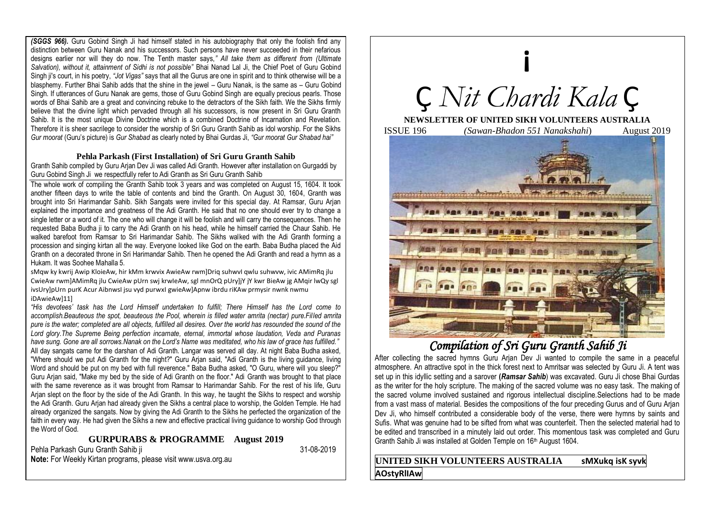*(SGGS 966).* Guru Gobind Singh Ji had himself stated in his autobiography that only the foolish find any distinction between Guru Nanak and his successors. Such persons have never succeeded in their nefarious designs earlier nor will they do now. The Tenth master says,*" All take them as different from (Ultimate Salvation), without it, attainment of Sidhi is not possible"* Bhai Nanad Lal Ji, the Chief Poet of Guru Gobind Singh ji's court, in his poetry, *"Jot Vigas"* says that all the Gurus are one in spirit and to think otherwise will be a blasphemy. Further Bhai Sahib adds that the shine in the jewel – Guru Nanak, is the same as – Guru Gobind Singh. If utterances of Guru Nanak are gems, those of Guru Gobind Singh are equally precious pearls. Those words of Bhai Sahib are a great and convincing rebuke to the detractors of the Sikh faith. We the Sikhs firmly believe that the divine light which pervaded through all his successors, is now present in Sri Guru Granth Sahib. It is the most unique Divine Doctrine which is a combined Doctrine of Incarnation and Revelation. Therefore it is sheer sacrilege to consider the worship of Sri Guru Granth Sahib as idol worship. For the Sikhs *Gur moorat* (Guru's picture) is *Gur Shabad* as clearly noted by Bhai Gurdas Ji, *"Gur moorat Gur Shabad hai"* 

## **Pehla Parkash (First Installation) of Sri Guru Granth Sahib**

Granth Sahib compiled by Guru Arjan Dev Ji was called Adi Granth. However after installation on Gurgaddi by Guru Gobind Singh Ji we respectfully refer to Adi Granth as Sri Guru Granth Sahib

The whole work of compiling the Granth Sahib took 3 years and was completed on August 15, 1604. It took another fifteen days to write the table of contents and bind the Granth. On August 30, 1604, Granth was brought into Sri Harimandar Sahib. Sikh Sangats were invited for this special day. At Ramsar, Guru Arjan explained the importance and greatness of the Adi Granth. He said that no one should ever try to change a single letter or a word of it. The one who will change it will be foolish and will carry the consequences. Then he requested Baba Budha ji to carry the Adi Granth on his head, while he himself carried the Chaur Sahib. He walked barefoot from Ramsar to Sri Harimandar Sahib. The Sikhs walked with the Adi Granth forming a procession and singing kirtan all the way. Everyone looked like God on the earth. Baba Budha placed the Aid Granth on a decorated throne in Sri Harimandar Sahib. Then he opened the Adi Granth and read a hymn as a Hukam. It was Soohee Mahalla 5.

sMaw ky kwrij Awip KloieAw, hir kMm krwyix AwieAw rwm]Dria suhwyl awlu suhwyw, ivic AMimRa jlu CwieAw rwm]AMimRq jlu CwieAw pUrn swj krwIeAw, sgl mnOrQ pUry]jY jY kwr BieAw jg AMqir lwQy sgl ivsUry]pUrn purK Acur AibnwsI jsu vyd purwxI gwieAw]Apnw ibrdu riKAw prmysir nwnk nwmu iDAwieAw]11]

*"His devotees' task has the Lord Himself undertaken to fulfill; There Himself has the Lord come to accomplish.Beauteous the spot, beauteous the Pool, wherein is filled water amrita (nectar) pure.Filled amrita pure is the water; completed are all objects, fulfilled all desires. Over the world has resounded the sound of the Lord glory.The Supreme Being perfection incarnate, eternal, immortal whose laudation, Veda and Puranas have sung. Gone are all sorrows.Nanak on the Lord's Name was meditated, who his law of grace has fulfilled."* All day sangats came for the darshan of Adi Granth. Langar was served all day. At night Baba Budha asked, "Where should we put Adi Granth for the night?" Guru Arjan said, "Adi Granth is the living guidance, living Word and should be put on my bed with full reverence." Baba Budha asked, "O Guru, where will you sleep?" Guru Arjan said, "Make my bed by the side of Adi Granth on the floor." Adi Granth was brought to that place with the same reverence as it was brought from Ramsar to Harimandar Sahib. For the rest of his life, Guru Arian slept on the floor by the side of the Adi Granth. In this way, he taught the Sikhs to respect and worship the Adi Granth. Guru Arjan had already given the Sikhs a central place to worship, the Golden Temple. He had already organized the sangats. Now by giving the Adi Granth to the Sikhs he perfected the organization of the faith in every way. He had given the Sikhs a new and effective practical living guidance to worship God through the Word of God.

## **GURPURABS & PROGRAMME August 2019**

Pehla Parkash Guru Granth Sahib ji 31-08-2019

**Note:** For Weekly Kirtan programs, please visit www.usva.org.au

**¡** Ç *Nit Chardi Kala* Ç **NEWSLETTER OF UNITED SIKH VOLUNTEERS AUSTRALIA** ISSUE 196 *(Sawan-Bhadon 551 Nanakshahi*) August 201[9](http://www.sikhiwiki.org/images/7/7c/Gurudwara_Sri_Guru_Ki_Wadali.jpg)

# *Compilation of Sri Guru Granth Sahib Ji*

**ARR DOS BOR 989** 

**BRE** 

After collecting the sacred hymns Guru Arjan Dev Ji wanted to compile the same in a peaceful atmosphere. An attractive spot in the thick forest next to Amritsar was selected by Guru Ji. A tent was set up in this idyllic setting and a sarover **(***Ramsar Sahib*) was excavated. Guru Ji chose Bhai Gurdas as the writer for the holy scripture. The making of the sacred volume was no easy task. The making of the sacred volume involved sustained and rigorous intellectual discipline.Selections had to be made from a vast mass of material. Besides the compositions of the four preceding Gurus and of Guru Arjan Dev Ji, who himself contributed a considerable body of the verse, there were hymns by saints and Sufis. What was genuine had to be sifted from what was counterfeit. Then the selected material had to be edited and transcribed in a minutely laid out order. This momentous task was completed and Guru Granth Sahib Ji was installed at Golden Temple on 16th August 1604.

## **UNITED SIKH VOLUNTEERS AUSTRALIA sMXukq isK syvk AOstyRlIAw**